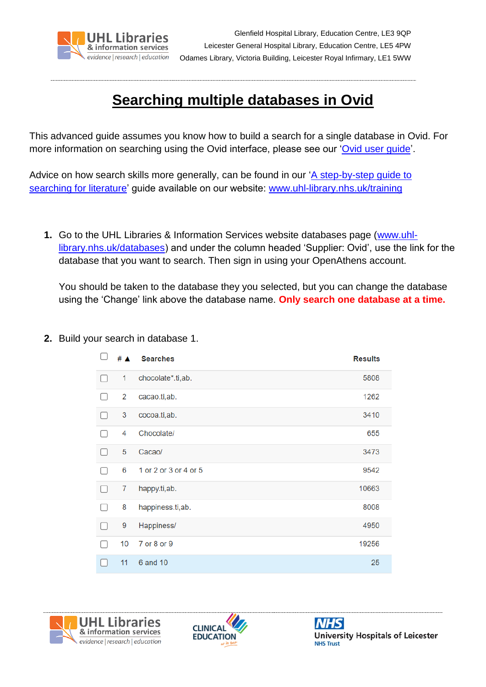

## **Searching multiple databases in Ovid**

This advanced guide assumes you know how to build a search for a single database in Ovid. For more information on searching using the Ovid interface, please see our ['Ovid user guide'](http://www.uhl-library.nhs.uk/pdfs/ovidguide.pdf).

Advice on how search skills more generally, can be found in our ['A step-by-step guide to](http://www.uhl-library.nhs.uk/pdfs/literaturesearching_full.pdf)  [searching for literature'](http://www.uhl-library.nhs.uk/pdfs/literaturesearching_full.pdf) guide available on our website: [www.uhl-library.nhs.uk/training](http://www.uhl-library.nhs.uk/training)

**1.** Go to the UHL Libraries & Information Services website databases page [\(www.uhl](http://www.uhl-library.nhs.uk/databases)[library.nhs.uk/databases\)](http://www.uhl-library.nhs.uk/databases) and under the column headed 'Supplier: Ovid', use the link for the database that you want to search. Then sign in using your OpenAthens account.

You should be taken to the database they you selected, but you can change the database using the 'Change' link above the database name. **Only search one database at a time.**

- $\Box$ #  $\triangle$ **Searches Results**  $\Box$  $\mathbf{1}$ chocolate\*.ti,ab. 5808  $\Box$  $\overline{2}$ cacao.ti,ab. 1262  $\Box$  $\mathbf{3}$ cocoa.ti,ab. 3410  $\Box$  $\overline{4}$ Chocolate/ 655  $\Box$ Cacao/ 3473 5 1 or 2 or 3 or 4 or 5 9542  $\Box$ 6 10663  $\Box$  $\overline{7}$ happy.ti,ab.  $\Box$ 8 happiness.ti,ab. 8008  $\Box$ 9 Happiness/ 4950  $\Box$ 10 7 or 8 or 9 19256 6 and 10 25  $\Box$  $11$
- **2.** Build your search in database 1.





**University Hospitals of Leicester NHS Trust**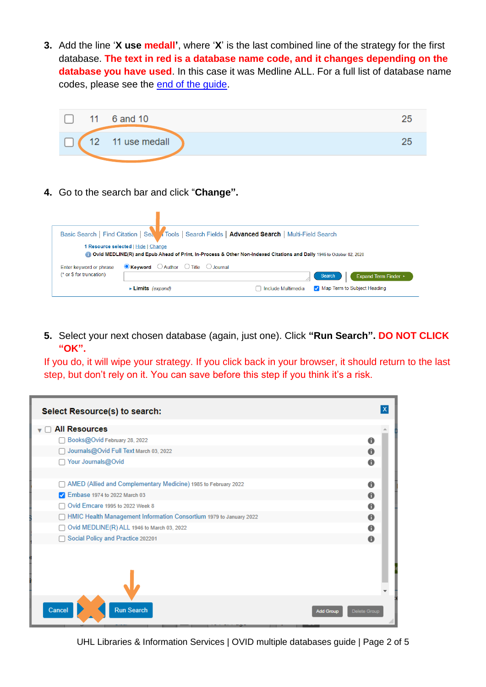**3.** Add the line '**X use medall'**, where '**X**' is the last combined line of the strategy for the first database. **The text in red is a database name code, and it changes depending on the database you have used**. In this case it was Medline ALL. For a full list of database name codes, please see the [end of the guide.](#page-4-0)



**4.** Go to the search bar and click "**Change".**

|                          |                                                                | Basic Search   Find Citation   Sea   Tools   Search Fields   Advanced Search   Multi-Field Search                    |
|--------------------------|----------------------------------------------------------------|----------------------------------------------------------------------------------------------------------------------|
|                          | 1 Resource selected   Hide   Change                            | Ovid MEDLINE(R) and Epub Ahead of Print, In-Process & Other Non-Indexed Citations and Daily 1946 to October 02, 2020 |
| Enter keyword or phrase  | $\bullet$ Keyword $\circ$ Author $\circ$ Title $\circ$ Journal |                                                                                                                      |
| (* or \$ for truncation) |                                                                | Search<br>Expand Term Finder ▶                                                                                       |
|                          | $\blacktriangleright$ Limits (expand)                          | Map Term to Subject Heading<br>Include Multimedia                                                                    |

**5.** Select your next chosen database (again, just one). Click **"Run Search". DO NOT CLICK "OK".**

If you do, it will wipe your strategy. If you click back in your browser, it should return to the last step, but don't rely on it. You can save before this step if you think it's a risk.

| Select Resource(s) to search:                                        |                  |                     |
|----------------------------------------------------------------------|------------------|---------------------|
| <b>All Resources</b>                                                 |                  |                     |
| Books@Ovid February 28, 2022                                         |                  | 0                   |
| Journals@Ovid Full Text March 03, 2022                               |                  | 0                   |
| □ Your Journals@Ovid                                                 |                  | 0                   |
| AMED (Allied and Complementary Medicine) 1985 to February 2022       |                  | A                   |
| 2 Embase 1974 to 2022 March 03                                       |                  | $\mathbf \theta$    |
| Ovid Emcare 1995 to 2022 Week 8                                      |                  | 0                   |
| □ HMIC Health Management Information Consortium 1979 to January 2022 |                  | $\mathbf \Omega$    |
| Ovid MEDLINE(R) ALL 1946 to March 03, 2022                           |                  | A                   |
| □ Social Policy and Practice 202201                                  |                  | $\mathbf{a}$        |
|                                                                      |                  |                     |
| <b>Run Search</b><br>Cancel                                          | <b>Add Group</b> | <b>Delete Group</b> |

UHL Libraries & Information Services | OVID multiple databases guide | Page 2 of 5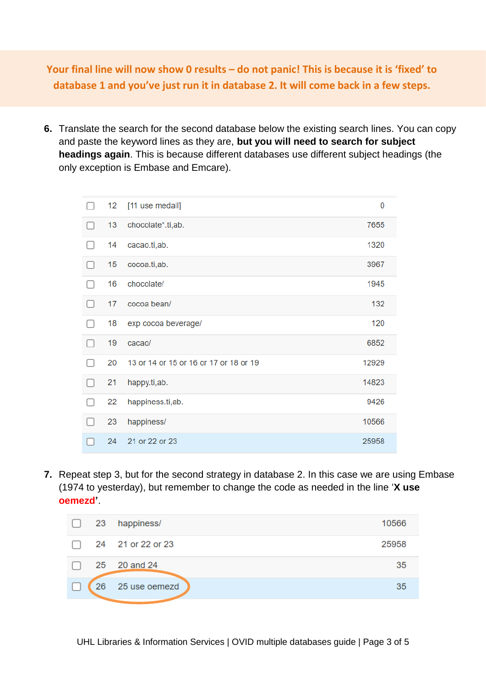**Your final line will now show 0 results – do not panic! This is because it is 'fixed' to database 1 and you've just run it in database 2. It will come back in a few steps.**

**6.** Translate the search for the second database below the existing search lines. You can copy and paste the keyword lines as they are, **but you will need to search for subject headings again**. This is because different databases use different subject headings (the only exception is Embase and Emcare).

| 12 | [11 use medall]                        | 0     |
|----|----------------------------------------|-------|
| 13 | chocolate*.ti,ab.                      | 7655  |
| 14 | cacao.ti,ab.                           | 1320  |
| 15 | cocoa.ti,ab.                           | 3967  |
| 16 | chocolate/                             | 1945  |
| 17 | cocoa bean/                            | 132   |
| 18 | exp cocoa beverage/                    | 120   |
| 19 | cacao/                                 | 6852  |
| 20 | 13 or 14 or 15 or 16 or 17 or 18 or 19 | 12929 |
| 21 | happy.ti,ab.                           | 14823 |
| 22 | happiness.ti,ab.                       | 9426  |
| 23 | happiness/                             | 10566 |
| 24 | 21 or 22 or 23                         | 25958 |

**7.** Repeat step 3, but for the second strategy in database 2. In this case we are using Embase (1974 to yesterday), but remember to change the code as needed in the line '**X use oemezd'**.

| $\mathbf{1}$ | 23 | happiness/        | 10566 |
|--------------|----|-------------------|-------|
| $\Box$       |    | 24 21 or 22 or 23 | 25958 |
|              |    | 25 20 and 24      | 35    |
| I.           | 26 | 25 use oemezd     | 35    |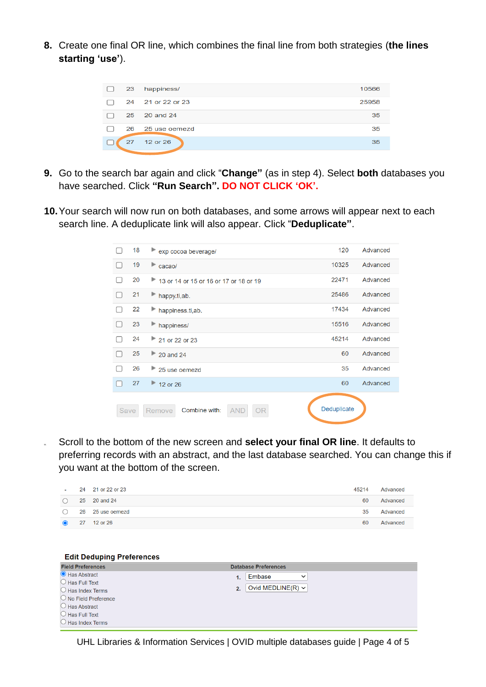**8.** Create one final OR line, which combines the final line from both strategies (**the lines starting 'use'**).



- **9.** Go to the search bar again and click "**Change"** (as in step 4). Select **both** databases you have searched. Click **"Run Search". DO NOT CLICK 'OK'.**
- **10.**Your search will now run on both databases, and some arrows will appear next to each search line. A deduplicate link will also appear. Click "**Deduplicate"**.

|      | 18 | exp cocoa beverage/                         | 120         | Advanced |
|------|----|---------------------------------------------|-------------|----------|
|      | 19 | $\blacktriangleright$ cacao/                | 10325       | Advanced |
|      | 20 | 13 or 14 or 15 or 16 or 17 or 18 or 19      | 22471       | Advanced |
|      | 21 | happy.ti,ab.                                | 25486       | Advanced |
|      | 22 | happiness.ti,ab.                            | 17434       | Advanced |
|      | 23 | happiness/                                  | 15516       | Advanced |
|      | 24 | 21 or 22 or 23                              | 45214       | Advanced |
|      | 25 | $\approx$ 20 and 24                         | 60          | Advanced |
|      | 26 | 25 use oemezd                               | 35          | Advanced |
|      | 27 | $\approx$ 12 or 26                          | 60          | Advanced |
| Save |    | Combine with:<br><b>AND</b><br>OR<br>Remove | Deduplicate |          |

**11.** Scroll to the bottom of the new screen and **select your final OR line**. It defaults to preferring records with an abstract, and the last database searched. You can change this if you want at the bottom of the screen.

| <b>Service</b> | 24 21 or 22 or 23           | 45214 | Advanced |
|----------------|-----------------------------|-------|----------|
|                | $\bigcirc$ 25 20 and 24     | 60    | Advanced |
|                | $\bigcirc$ 26 25 use oemezd | 35    | Advanced |
|                | 27 12 or 26                 | 60    | Advanced |

| <b>Edit Deduping Preferences</b> |                              |
|----------------------------------|------------------------------|
| <b>Field Preferences</b>         | <b>Database Preferences</b>  |
| Has Abstract                     | Embase<br>$\check{ }$<br>1.  |
| $\bigcirc$ Has Full Text         |                              |
| $\bigcirc$ Has Index Terms       | Ovid MEDLINE(R) $\vee$<br>2. |
| $\bigcirc$ No Field Preference   |                              |
| $\bigcirc$ Has Abstract          |                              |
| $\bigcirc$ Has Full Text         |                              |
| $\bigcirc$ Has Index Terms       |                              |
|                                  |                              |

UHL Libraries & Information Services | OVID multiple databases guide | Page 4 of 5